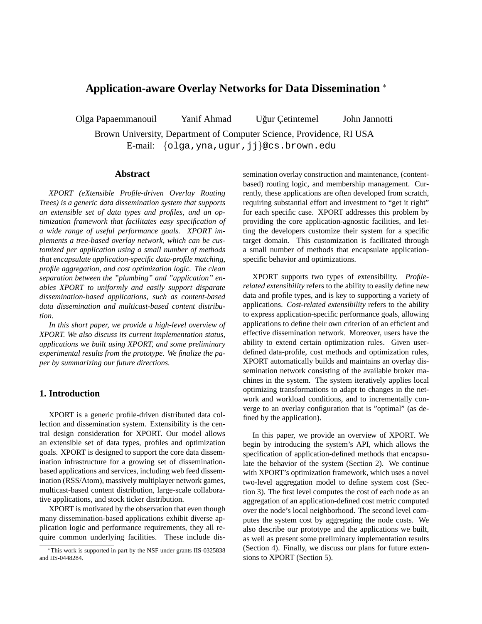# **Application-aware Overlay Networks for Data Dissemination** <sup>∗</sup>

Olga Papaemmanouil Yanif Ahmad Uğur Cetintemel John Jannotti

Brown University, Department of Computer Science, Providence, RI USA E-mail: {olga,yna,ugur,jj}@cs.brown.edu

## **Abstract**

*XPORT (eXtensible Profile-driven Overlay Routing Trees) is a generic data dissemination system that supports an extensible set of data types and profiles, and an optimization framework that facilitates easy specification of a wide range of useful performance goals. XPORT implements a tree-based overlay network, which can be customized per application using a small number of methods that encapsulate application-specific data-profile matching, profile aggregation, and cost optimization logic. The clean separation between the "plumbing" and "application" enables XPORT to uniformly and easily support disparate dissemination-based applications, such as content-based data dissemination and multicast-based content distribution.*

*In this short paper, we provide a high-level overview of XPORT. We also discuss its current implementation status, applications we built using XPORT, and some preliminary experimental results from the prototype. We finalize the paper by summarizing our future directions.*

## **1. Introduction**

XPORT is a generic profile-driven distributed data collection and dissemination system. Extensibility is the central design consideration for XPORT. Our model allows an extensible set of data types, profiles and optimization goals. XPORT is designed to support the core data dissemination infrastructure for a growing set of disseminationbased applications and services, including web feed dissemination (RSS/Atom), massively multiplayer network games, multicast-based content distribution, large-scale collaborative applications, and stock ticker distribution.

XPORT is motivated by the observation that even though many dissemination-based applications exhibit diverse application logic and performance requirements, they all require common underlying facilities. These include dissemination overlay construction and maintenance, (contentbased) routing logic, and membership management. Currently, these applications are often developed from scratch, requiring substantial effort and investment to "get it right" for each specific case. XPORT addresses this problem by providing the core application-agnostic facilities, and letting the developers customize their system for a specific target domain. This customization is facilitated through a small number of methods that encapsulate applicationspecific behavior and optimizations.

XPORT supports two types of extensibility. *Profilerelated extensibility* refers to the ability to easily define new data and profile types, and is key to supporting a variety of applications. *Cost-related extensibility* refers to the ability to express application-specific performance goals, allowing applications to define their own criterion of an efficient and effective dissemination network. Moreover, users have the ability to extend certain optimization rules. Given userdefined data-profile, cost methods and optimization rules, XPORT automatically builds and maintains an overlay dissemination network consisting of the available broker machines in the system. The system iteratively applies local optimizing transformations to adapt to changes in the network and workload conditions, and to incrementally converge to an overlay configuration that is "optimal" (as defined by the application).

In this paper, we provide an overview of XPORT. We begin by introducing the system's API, which allows the specification of application-defined methods that encapsulate the behavior of the system (Section 2). We continue with XPORT's optimization framework, which uses a novel two-level aggregation model to define system cost (Section 3). The first level computes the cost of each node as an aggregation of an application-defined cost metric computed over the node's local neighborhood. The second level computes the system cost by aggregating the node costs. We also describe our prototype and the applications we built, as well as present some preliminary implementation results (Section 4). Finally, we discuss our plans for future extensions to XPORT (Section 5).

<sup>∗</sup>This work is supported in part by the NSF under grants IIS-0325838 and IIS-0448284.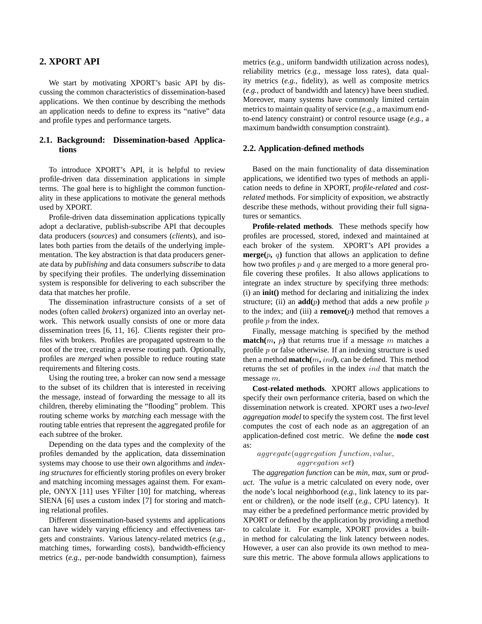## **2. XPORT API**

We start by motivating XPORT's basic API by discussing the common characteristics of dissemination-based applications. We then continue by describing the methods an application needs to define to express its "native" data and profile types and performance targets.

## **2.1. Background: Dissemination-based Applications**

To introduce XPORT's API, it is helpful to review profile-driven data dissemination applications in simple terms. The goal here is to highlight the common functionality in these applications to motivate the general methods used by XPORT.

Profile-driven data dissemination applications typically adopt a declarative, publish-subscribe API that decouples data producers (*sources*) and consumers (*clients*), and isolates both parties from the details of the underlying implementation. The key abstraction is that data producers generate data by *publishing* and data consumers *subscribe* to data by specifying their profiles. The underlying dissemination system is responsible for delivering to each subscriber the data that matches her profile.

The dissemination infrastructure consists of a set of nodes (often called *brokers*) organized into an overlay network. This network usually consists of one or more data dissemination trees [6, 11, 16]. Clients register their profiles with brokers. Profiles are propagated upstream to the root of the tree, creating a reverse routing path. Optionally, profiles are *merged* when possible to reduce routing state requirements and filtering costs.

Using the routing tree, a broker can now send a message to the subset of its children that is interested in receiving the message, instead of forwarding the message to all its children, thereby eliminating the "flooding" problem. This routing scheme works by *matching* each message with the routing table entries that represent the aggregated profile for each subtree of the broker.

Depending on the data types and the complexity of the profiles demanded by the application, data dissemination systems may choose to use their own algorithms and *indexing structures* for efficiently storing profiles on every broker and matching incoming messages against them. For example, ONYX [11] uses YFilter [10] for matching, whereas SIENA [6] uses a custom index [7] for storing and matching relational profiles.

Different dissemination-based systems and applications can have widely varying efficiency and effectiveness targets and constraints. Various latency-related metrics (*e.g.*, matching times, forwarding costs), bandwidth-efficiency metrics (*e.g.*, per-node bandwidth consumption), fairness metrics (*e.g.*, uniform bandwidth utilization across nodes), reliability metrics (*e.g.*, message loss rates), data quality metrics (*e.g.*, fidelity), as well as composite metrics (*e.g.*, product of bandwidth and latency) have been studied. Moreover, many systems have commonly limited certain metrics to maintain quality of service (*e.g.*, a maximum endto-end latency constraint) or control resource usage (*e.g.*, a maximum bandwidth consumption constraint).

#### **2.2. Application-defined methods**

Based on the main functionality of data dissemination applications, we identified two types of methods an application needs to define in XPORT, *profile-related* and *costrelated* methods. For simplicity of exposition, we abstractly describe these methods, without providing their full signatures or semantics.

**Profile-related methods**. These methods specify how profiles are processed, stored, indexed and maintained at each broker of the system. XPORT's API provides a **merge** $(p, q)$  function that allows an application to define how two profiles  $p$  and  $q$  are merged to a more general profile covering these profiles. It also allows applications to integrate an index structure by specifying three methods: (i) an **init()** method for declaring and initializing the index structure; (ii) an  $add(p)$  method that adds a new profile p to the index; and (iii) a **remove** $(p)$  method that removes a profile  $p$  from the index.

Finally, message matching is specified by the method **match** $(m, p)$  that returns true if a message m matches a profile  $p$  or false otherwise. If an indexing structure is used then a method **match(**m**,** ind**)**, can be defined. This method returns the set of profiles in the index ind that match the message m.

**Cost-related methods**. XPORT allows applications to specify their own performance criteria, based on which the dissemination network is created. XPORT uses a *two-level aggregation model* to specify the system cost. The first level computes the cost of each node as an aggregation of an application-defined cost metric. We define the **node cost** as:

## aggregate(aggregation function, value, aggregation set)

The *aggregation function* can be *min*, *max*, *sum* or *product*. The *value* is a metric calculated on every node, over the node's local neighborhood (*e.g.*, link latency to its parent or children), or the node itself (*e.g.*, CPU latency). It may either be a predefined performance metric provided by XPORT or defined by the application by providing a method to calculate it. For example, XPORT provides a builtin method for calculating the link latency between nodes. However, a user can also provide its own method to measure this metric. The above formula allows applications to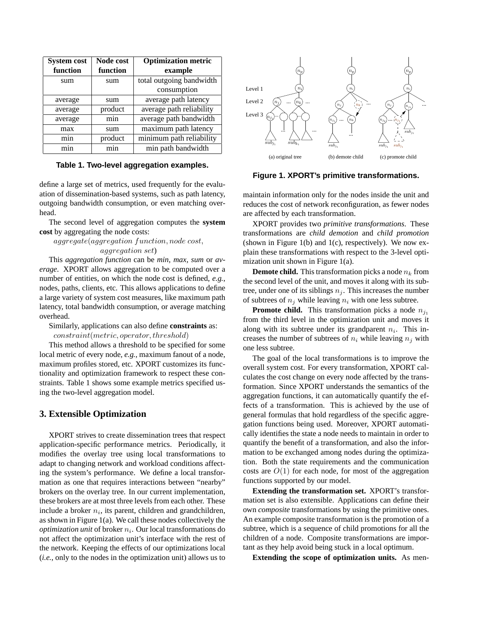| <b>System cost</b><br>function | Node cost<br>function | <b>Optimization metric</b><br>example |
|--------------------------------|-----------------------|---------------------------------------|
| sum                            | sum                   | total outgoing bandwidth              |
|                                |                       | consumption                           |
| average                        | sum                   | average path latency                  |
| average                        | product               | average path reliability              |
| average                        | min                   | average path bandwidth                |
| max                            | sum                   | maximum path latency                  |
| min                            | product               | minimum path reliability              |
| mın                            | min                   | min path bandwidth                    |

#### **Table 1. Two-level aggregation examples.**

define a large set of metrics, used frequently for the evaluation of dissemination-based systems, such as path latency, outgoing bandwidth consumption, or even matching overhead.

The second level of aggregation computes the **system cost** by aggregating the node costs:

aggregate(aggregation function, node cost, aggregation set)

This *aggregation function* can be *min*, *max*, *sum* or *average*. XPORT allows aggregation to be computed over a number of entities, on which the node cost is defined, *e.g.*, nodes, paths, clients, etc. This allows applications to define a large variety of system cost measures, like maximum path latency, total bandwidth consumption, or average matching overhead.

## Similarly, applications can also define **constraints** as: constraint(metric, operator, threshold)

This method allows a threshold to be specified for some local metric of every node, *e.g.*, maximum fanout of a node, maximum profiles stored, etc. XPORT customizes its functionality and optimization framework to respect these constraints. Table 1 shows some example metrics specified using the two-level aggregation model.

## **3. Extensible Optimization**

XPORT strives to create dissemination trees that respect application-specific performance metrics. Periodically, it modifies the overlay tree using local transformations to adapt to changing network and workload conditions affecting the system's performance. We define a local transformation as one that requires interactions between "nearby" brokers on the overlay tree. In our current implementation, these brokers are at most three levels from each other. These include a broker  $n_i$ , its parent, children and grandchildren, as shown in Figure 1(a). We call these nodes collectively the  $optimization$  unit of broker  $n_i$ . Our local transformations do not affect the optimization unit's interface with the rest of the network. Keeping the effects of our optimizations local (*i.e.*, only to the nodes in the optimization unit) allows us to



**Figure 1. XPORT's primitive transformations.**

maintain information only for the nodes inside the unit and reduces the cost of network reconfiguration, as fewer nodes are affected by each transformation.

XPORT provides two *primitive transformations*. These transformations are *child demotion* and *child promotion* (shown in Figure 1(b) and 1(c), respectively). We now explain these transformations with respect to the 3-level optimization unit shown in Figure 1(a).

**Demote child.** This transformation picks a node  $n_k$  from the second level of the unit, and moves it along with its subtree, under one of its siblings  $n<sub>j</sub>$ . This increases the number of subtrees of  $n_i$  while leaving  $n_i$  with one less subtree.

**Promote child.** This transformation picks a node  $n_{j_1}$ from the third level in the optimization unit and moves it along with its subtree under its grandparent  $n_i$ . This increases the number of subtrees of  $n_i$  while leaving  $n_i$  with one less subtree.

The goal of the local transformations is to improve the overall system cost. For every transformation, XPORT calculates the cost change on every node affected by the transformation. Since XPORT understands the semantics of the aggregation functions, it can automatically quantify the effects of a transformation. This is achieved by the use of general formulas that hold regardless of the specific aggregation functions being used. Moreover, XPORT automatically identifies the state a node needs to maintain in order to quantify the benefit of a transformation, and also the information to be exchanged among nodes during the optimization. Both the state requirements and the communication costs are  $O(1)$  for each node, for most of the aggregation functions supported by our model.

**Extending the transformation set.** XPORT's transformation set is also extensible. Applications can define their own *composite* transformations by using the primitive ones. An example composite transformation is the promotion of a subtree, which is a sequence of child promotions for all the children of a node. Composite transformations are important as they help avoid being stuck in a local optimum.

**Extending the scope of optimization units.** As men-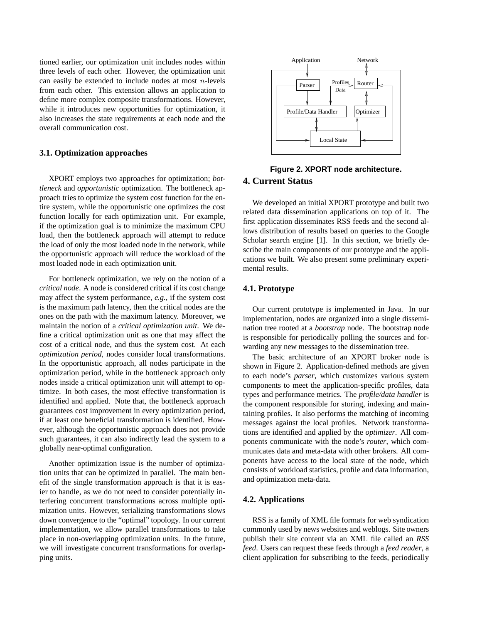tioned earlier, our optimization unit includes nodes within three levels of each other. However, the optimization unit can easily be extended to include nodes at most  $n$ -levels from each other. This extension allows an application to define more complex composite transformations. However, while it introduces new opportunities for optimization, it also increases the state requirements at each node and the overall communication cost.

#### **3.1. Optimization approaches**

XPORT employs two approaches for optimization; *bottleneck* and *opportunistic* optimization. The bottleneck approach tries to optimize the system cost function for the entire system, while the opportunistic one optimizes the cost function locally for each optimization unit. For example, if the optimization goal is to minimize the maximum CPU load, then the bottleneck approach will attempt to reduce the load of only the most loaded node in the network, while the opportunistic approach will reduce the workload of the most loaded node in each optimization unit.

For bottleneck optimization, we rely on the notion of a *critical node*. A node is considered critical if its cost change may affect the system performance, *e.g.*, if the system cost is the maximum path latency, then the critical nodes are the ones on the path with the maximum latency. Moreover, we maintain the notion of a *critical optimization unit*. We define a critical optimization unit as one that may affect the cost of a critical node, and thus the system cost. At each *optimization period*, nodes consider local transformations. In the opportunistic approach, all nodes participate in the optimization period, while in the bottleneck approach only nodes inside a critical optimization unit will attempt to optimize. In both cases, the most effective transformation is identified and applied. Note that, the bottleneck approach guarantees cost improvement in every optimization period, if at least one beneficial transformation is identified. However, although the opportunistic approach does not provide such guarantees, it can also indirectly lead the system to a globally near-optimal configuration.

Another optimization issue is the number of optimization units that can be optimized in parallel. The main benefit of the single transformation approach is that it is easier to handle, as we do not need to consider potentially interfering concurrent transformations across multiple optimization units. However, serializing transformations slows down convergence to the "optimal" topology. In our current implementation, we allow parallel transformations to take place in non-overlapping optimization units. In the future, we will investigate concurrent transformations for overlapping units.



## **Figure 2. XPORT node architecture. 4. Current Status**

We developed an initial XPORT prototype and built two related data dissemination applications on top of it. The first application disseminates RSS feeds and the second allows distribution of results based on queries to the Google Scholar search engine [1]. In this section, we briefly describe the main components of our prototype and the applications we built. We also present some preliminary experimental results.

## **4.1. Prototype**

Our current prototype is implemented in Java. In our implementation, nodes are organized into a single dissemination tree rooted at a *bootstrap* node. The bootstrap node is responsible for periodically polling the sources and forwarding any new messages to the dissemination tree.

The basic architecture of an XPORT broker node is shown in Figure 2. Application-defined methods are given to each node's *parser*, which customizes various system components to meet the application-specific profiles, data types and performance metrics. The *profile/data handler* is the component responsible for storing, indexing and maintaining profiles. It also performs the matching of incoming messages against the local profiles. Network transformations are identified and applied by the *optimizer*. All components communicate with the node's *router*, which communicates data and meta-data with other brokers. All components have access to the local state of the node, which consists of workload statistics, profile and data information, and optimization meta-data.

#### **4.2. Applications**

RSS is a family of XML file formats for web syndication commonly used by news websites and weblogs. Site owners publish their site content via an XML file called an *RSS feed*. Users can request these feeds through a *feed reader*, a client application for subscribing to the feeds, periodically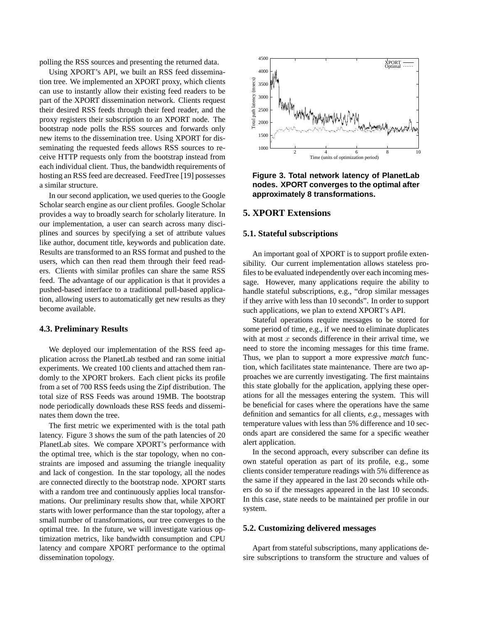polling the RSS sources and presenting the returned data.

Using XPORT's API, we built an RSS feed dissemination tree. We implemented an XPORT proxy, which clients can use to instantly allow their existing feed readers to be part of the XPORT dissemination network. Clients request their desired RSS feeds through their feed reader, and the proxy registers their subscription to an XPORT node. The bootstrap node polls the RSS sources and forwards only new items to the dissemination tree. Using XPORT for disseminating the requested feeds allows RSS sources to receive HTTP requests only from the bootstrap instead from each individual client. Thus, the bandwidth requirements of hosting an RSS feed are decreased. FeedTree [19] possesses a similar structure.

In our second application, we used queries to the Google Scholar search engine as our client profiles. Google Scholar provides a way to broadly search for scholarly literature. In our implementation, a user can search across many disciplines and sources by specifying a set of attribute values like author, document title, keywords and publication date. Results are transformed to an RSS format and pushed to the users, which can then read them through their feed readers. Clients with similar profiles can share the same RSS feed. The advantage of our application is that it provides a pushed-based interface to a traditional pull-based application, allowing users to automatically get new results as they become available.

## **4.3. Preliminary Results**

We deployed our implementation of the RSS feed application across the PlanetLab testbed and ran some initial experiments. We created 100 clients and attached them randomly to the XPORT brokers. Each client picks its profile from a set of 700 RSS feeds using the Zipf distribution. The total size of RSS Feeds was around 19MB. The bootstrap node periodically downloads these RSS feeds and disseminates them down the tree.

The first metric we experimented with is the total path latency. Figure 3 shows the sum of the path latencies of 20 PlanetLab sites. We compare XPORT's performance with the optimal tree, which is the star topology, when no constraints are imposed and assuming the triangle inequality and lack of congestion. In the star topology, all the nodes are connected directly to the bootstrap node. XPORT starts with a random tree and continuously applies local transformations. Our preliminary results show that, while XPORT starts with lower performance than the star topology, after a small number of transformations, our tree converges to the optimal tree. In the future, we will investigate various optimization metrics, like bandwidth consumption and CPU latency and compare XPORT performance to the optimal dissemination topology.



**Figure 3. Total network latency of PlanetLab nodes. XPORT converges to the optimal after approximately 8 transformations.**

## **5. XPORT Extensions**

## **5.1. Stateful subscriptions**

An important goal of XPORT is to support profile extensibility. Our current implementation allows stateless profiles to be evaluated independently over each incoming message. However, many applications require the ability to handle stateful subscriptions, e.g., "drop similar messages if they arrive with less than 10 seconds". In order to support such applications, we plan to extend XPORT's API.

Stateful operations require messages to be stored for some period of time, e.g., if we need to eliminate duplicates with at most  $x$  seconds difference in their arrival time, we need to store the incoming messages for this time frame. Thus, we plan to support a more expressive *match* function, which facilitates state maintenance. There are two approaches we are currently investigating. The first maintains this state globally for the application, applying these operations for all the messages entering the system. This will be beneficial for cases where the operations have the same definition and semantics for all clients, *e.g.*, messages with temperature values with less than 5% difference and 10 seconds apart are considered the same for a specific weather alert application.

In the second approach, every subscriber can define its own stateful operation as part of its profile, e.g., some clients consider temperature readings with 5% difference as the same if they appeared in the last 20 seconds while others do so if the messages appeared in the last 10 seconds. In this case, state needs to be maintained per profile in our system.

## **5.2. Customizing delivered messages**

Apart from stateful subscriptions, many applications desire subscriptions to transform the structure and values of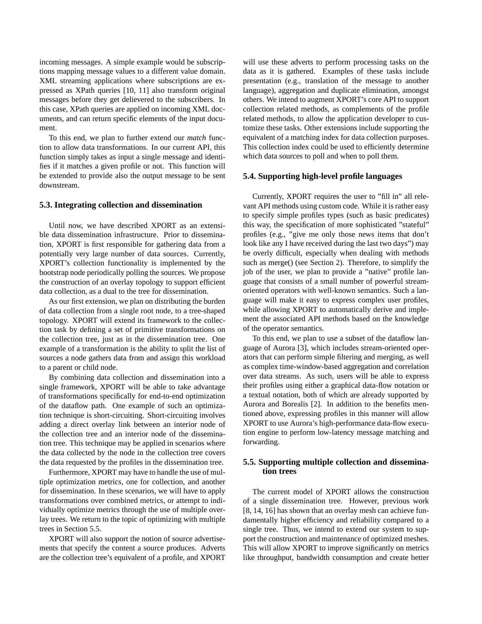incoming messages. A simple example would be subscriptions mapping message values to a different value domain. XML streaming applications where subscriptions are expressed as XPath queries [10, 11] also transform original messages before they get delievered to the subscribers. In this case, XPath queries are applied on incoming XML documents, and can return specific elements of the input document.

To this end, we plan to further extend our *match* function to allow data transformations. In our current API, this function simply takes as input a single message and identifies if it matches a given profile or not. This function will be extended to provide also the output message to be sent downstream.

#### **5.3. Integrating collection and dissemination**

Until now, we have described XPORT as an extensible data dissemination infrastructure. Prior to dissemination, XPORT is first responsible for gathering data from a potentially very large number of data sources. Currently, XPORT's collection functionality is implemented by the bootstrap node periodically polling the sources. We propose the construction of an overlay topology to support efficient data collection, as a dual to the tree for dissemination.

As our first extension, we plan on distributing the burden of data collection from a single root node, to a tree-shaped topology. XPORT will extend its framework to the collection task by defining a set of primitive transformations on the collection tree, just as in the dissemination tree. One example of a transformation is the ability to split the list of sources a node gathers data from and assign this workload to a parent or child node.

By combining data collection and dissemination into a single framework, XPORT will be able to take advantage of transformations specifically for end-to-end optimization of the dataflow path. One example of such an optimization technique is short-circuiting. Short-circuiting involves adding a direct overlay link between an interior node of the collection tree and an interior node of the dissemination tree. This technique may be applied in scenarios where the data collected by the node in the collection tree covers the data requested by the profiles in the dissemination tree.

Furthermore, XPORT may have to handle the use of multiple optimization metrics, one for collection, and another for dissemination. In these scenarios, we will have to apply transformations over combined metrics, or attempt to individually optimize metrics through the use of multiple overlay trees. We return to the topic of optimizing with multiple trees in Section 5.5.

XPORT will also support the notion of source advertisements that specify the content a source produces. Adverts are the collection tree's equivalent of a profile, and XPORT will use these adverts to perform processing tasks on the data as it is gathered. Examples of these tasks include presentation (e.g., translation of the message to another language), aggregation and duplicate elimination, amongst others. We intend to augment XPORT's core API to support collection related methods, as complements of the profile related methods, to allow the application developer to customize these tasks. Other extensions include supporting the equivalent of a matching index for data collection purposes. This collection index could be used to efficiently determine which data sources to poll and when to poll them.

#### **5.4. Supporting high-level profile languages**

Currently, XPORT requires the user to "fill in" all relevant API methods using custom code. While it is rather easy to specify simple profiles types (such as basic predicates) this way, the specification of more sophisticated "stateful" profiles (e.g., "give me only those news items that don't look like any I have received during the last two days") may be overly difficult, especially when dealing with methods such as merge() (see Section 2). Therefore, to simplify the job of the user, we plan to provide a "native" profile language that consists of a small number of powerful streamoriented operators with well-known semantics. Such a language will make it easy to express complex user profiles, while allowing XPORT to automatically derive and implement the associated API methods based on the knowledge of the operator semantics.

To this end, we plan to use a subset of the dataflow language of Aurora [3], which includes stream-oriented operators that can perform simple filtering and merging, as well as complex time-window-based aggregation and correlation over data streams. As such, users will be able to express their profiles using either a graphical data-flow notation or a textual notation, both of which are already supported by Aurora and Borealis [2]. In addition to the benefits mentioned above, expressing profiles in this manner will allow XPORT to use Aurora's high-performance data-flow execution engine to perform low-latency message matching and forwarding.

## **5.5. Supporting multiple collection and dissemination trees**

The current model of XPORT allows the construction of a single dissemination tree. However, previous work [8, 14, 16] has shown that an overlay mesh can achieve fundamentally higher efficiency and reliability compared to a single tree. Thus, we intend to extend our system to support the construction and maintenance of optimized meshes. This will allow XPORT to improve significantly on metrics like throughput, bandwidth consumption and create better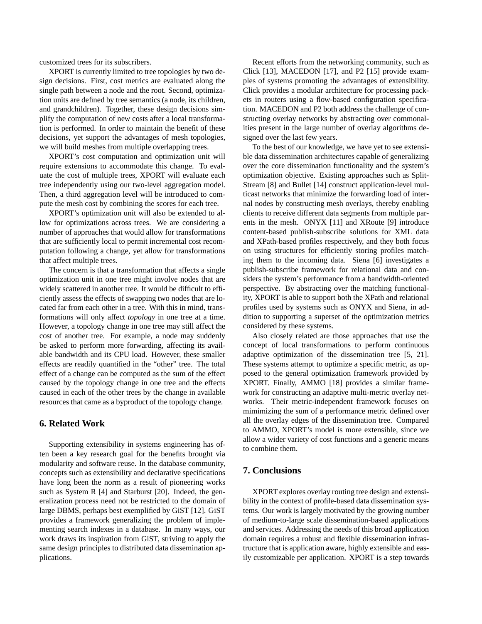customized trees for its subscribers.

XPORT is currently limited to tree topologies by two design decisions. First, cost metrics are evaluated along the single path between a node and the root. Second, optimization units are defined by tree semantics (a node, its children, and grandchildren). Together, these design decisions simplify the computation of new costs after a local transformation is performed. In order to maintain the benefit of these decisions, yet support the advantages of mesh topologies, we will build meshes from multiple overlapping trees.

XPORT's cost computation and optimization unit will require extensions to accommodate this change. To evaluate the cost of multiple trees, XPORT will evaluate each tree independently using our two-level aggregation model. Then, a third aggregation level will be introduced to compute the mesh cost by combining the scores for each tree.

XPORT's optimization unit will also be extended to allow for optimizations across trees. We are considering a number of approaches that would allow for transformations that are sufficiently local to permit incremental cost recomputation following a change, yet allow for transformations that affect multiple trees.

The concern is that a transformation that affects a single optimization unit in one tree might involve nodes that are widely scattered in another tree. It would be difficult to efficiently assess the effects of swapping two nodes that are located far from each other in a tree. With this in mind, transformations will only affect *topology* in one tree at a time. However, a topology change in one tree may still affect the cost of another tree. For example, a node may suddenly be asked to perform more forwarding, affecting its available bandwidth and its CPU load. However, these smaller effects are readily quantified in the "other" tree. The total effect of a change can be computed as the sum of the effect caused by the topology change in one tree and the effects caused in each of the other trees by the change in available resources that came as a byproduct of the topology change.

## **6. Related Work**

Supporting extensibility in systems engineering has often been a key research goal for the benefits brought via modularity and software reuse. In the database community, concepts such as extensibility and declarative specifications have long been the norm as a result of pioneering works such as System R [4] and Starburst [20]. Indeed, the generalization process need not be restricted to the domain of large DBMS, perhaps best exemplified by GiST [12]. GiST provides a framework generalizing the problem of implementing search indexes in a database. In many ways, our work draws its inspiration from GiST, striving to apply the same design principles to distributed data dissemination applications.

Recent efforts from the networking community, such as Click [13], MACEDON [17], and P2 [15] provide examples of systems promoting the advantages of extensibility. Click provides a modular architecture for processing packets in routers using a flow-based configuration specification. MACEDON and P2 both address the challenge of constructing overlay networks by abstracting over commonalities present in the large number of overlay algorithms designed over the last few years.

To the best of our knowledge, we have yet to see extensible data dissemination architectures capable of generalizing over the core dissemination functionality and the system's optimization objective. Existing approaches such as Split-Stream [8] and Bullet [14] construct application-level multicast networks that minimize the forwarding load of internal nodes by constructing mesh overlays, thereby enabling clients to receive different data segments from multiple parents in the mesh. ONYX [11] and XRoute [9] introduce content-based publish-subscribe solutions for XML data and XPath-based profiles respectively, and they both focus on using structures for efficiently storing profiles matching them to the incoming data. Siena [6] investigates a publish-subscribe framework for relational data and considers the system's performance from a bandwidth-oriented perspective. By abstracting over the matching functionality, XPORT is able to support both the XPath and relational profiles used by systems such as ONYX and Siena, in addition to supporting a superset of the optimization metrics considered by these systems.

Also closely related are those approaches that use the concept of local transformations to perform continuous adaptive optimization of the dissemination tree [5, 21]. These systems attempt to optimize a specific metric, as opposed to the general optimization framework provided by XPORT. Finally, AMMO [18] provides a similar framework for constructing an adaptive multi-metric overlay networks. Their metric-independent framework focuses on mimimizing the sum of a performance metric defined over all the overlay edges of the dissemination tree. Compared to AMMO, XPORT's model is more extensible, since we allow a wider variety of cost functions and a generic means to combine them.

## **7. Conclusions**

XPORT explores overlay routing tree design and extensibility in the context of profile-based data dissemination systems. Our work is largely motivated by the growing number of medium-to-large scale dissemination-based applications and services. Addressing the needs of this broad application domain requires a robust and flexible dissemination infrastructure that is application aware, highly extensible and easily customizable per application. XPORT is a step towards